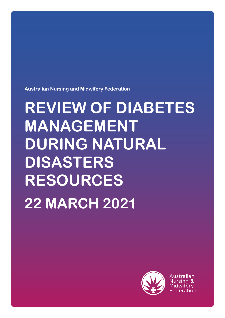**Australian Nursing and Midwifery Federation**

# **REVIEW OF DIABETES MANAGEMENT DURING NATURAL DISASTERS RESOURCES 22 MARCH 2021**



Australian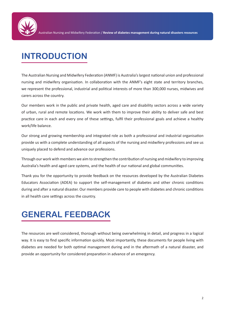

## **INTRODUCTION**

The Australian Nursing and Midwifery Federation (ANMF) is Australia's largest national union and professional nursing and midwifery organisation. In collaboration with the ANMF's eight state and territory branches, we represent the professional, industrial and political interests of more than 300,000 nurses, midwives and carers across the country.

Our members work in the public and private health, aged care and disability sectors across a wide variety of urban, rural and remote locations. We work with them to improve their ability to deliver safe and best practice care in each and every one of these settings, fulfil their professional goals and achieve a healthy work/life balance.

Our strong and growing membership and integrated role as both a professional and industrial organisation provide us with a complete understanding of all aspects of the nursing and midwifery professions and see us uniquely placed to defend and advance our professions.

Through our work with members we aim to strengthen the contribution of nursing and midwifery to improving Australia's health and aged care systems, and the health of our national and global communities.

Thank you for the opportunity to provide feedback on the resources developed by the Australian Diabetes Educators Association (ADEA) to support the self-management of diabetes and other chronic conditions during and after a natural disaster. Our members provide care to people with diabetes and chronic conditions in all health care settings across the country.

## **GENERAL FEEDBACK**

The resources are well considered, thorough without being overwhelming in detail, and progress in a logical way. It is easy to find specific information quickly. Most importantly, these documents for people living with diabetes are needed for both optimal management during and in the aftermath of a natural disaster, and provide an opportunity for considered preparation in advance of an emergency.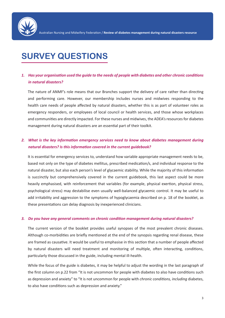

### **SURVEY QUESTIONS**

### *1. Has your organisation used the guide to the needs of people with diabetes and other chronic conditions in natural disasters?*

The nature of ANMF's role means that our Branches support the delivery of care rather than directing and performing care. However, our membership includes nurses and midwives responding to the health care needs of people affected by natural disasters, whether this is as part of volunteer roles as emergency responders, or employees of local council or health services, and those whose workplaces and communities are directly impacted. For these nurses and midwives, the ADEA's resources for diabetes management during natural disasters are an essential part of their toolkit.

#### *2. What is the key information emergency services need to know about diabetes management during natural disasters? Is this information covered in the current guidebook?*

It is essential for emergency services to, understand how variable appropriate management needs to be, based not only on the type of diabetes mellitus, prescribed medication/s, and individual response to the natural disaster, but also each person's level of glycaemic stability. While the majority of this information is succinctly but comprehensively covered in the current guidebook, this last aspect could be more heavily emphasised, with reinforcement that variables (for example, physical exertion, physical stress, psychological stress) may destabilise even usually well-balanced glycaemic control. It may be useful to add irritability and aggression to the symptoms of hypoglycaemia described on p. 18 of the booklet, as these presentations can delay diagnosis by inexperienced clinicians.

#### *3. Do you have any general comments on chronic condition management during natural disasters?*

The current version of the booklet provides useful synopses of the most prevalent chronic diseases. Although co-morbidities are briefly mentioned at the end of the synopsis regarding renal disease, these are framed as causative. It would be useful to emphasise in this section that a number of people affected by natural disasters will need treatment and monitoring of multiple, often interacting, conditions, particularly those discussed in the guide, including mental ill-health.

While the focus of the guide is diabetes, it may be helpful to adjust the wording in the last paragraph of the first column on p.22 from "It is not uncommon for people with diabetes to also have conditions such as depression and anxiety" to "It is not uncommon for people with *chronic conditions, including* diabetes, to also have conditions such as depression and anxiety."